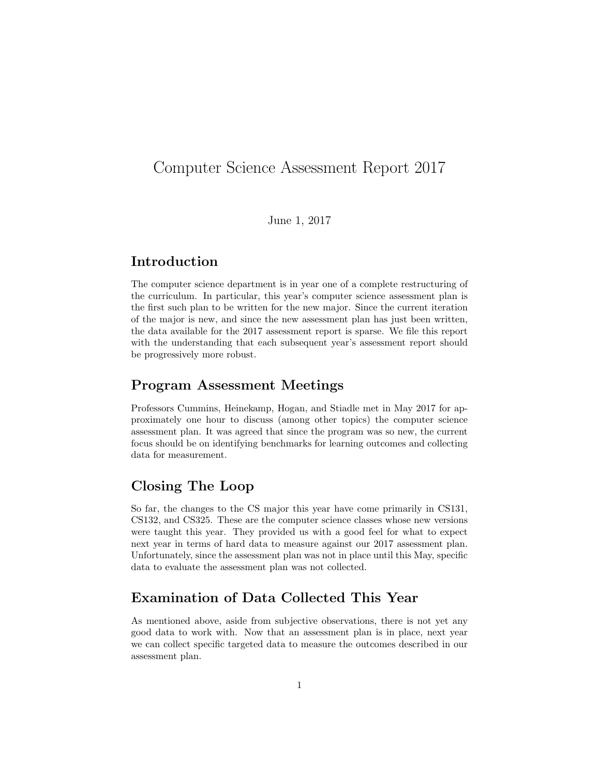## Computer Science Assessment Report 2017

June 1, 2017

### Introduction

The computer science department is in year one of a complete restructuring of the curriculum. In particular, this year's computer science assessment plan is the first such plan to be written for the new major. Since the current iteration of the major is new, and since the new assessment plan has just been written, the data available for the 2017 assessment report is sparse. We file this report with the understanding that each subsequent year's assessment report should be progressively more robust.

#### Program Assessment Meetings

Professors Cummins, Heinekamp, Hogan, and Stiadle met in May 2017 for approximately one hour to discuss (among other topics) the computer science assessment plan. It was agreed that since the program was so new, the current focus should be on identifying benchmarks for learning outcomes and collecting data for measurement.

#### Closing The Loop

So far, the changes to the CS major this year have come primarily in CS131, CS132, and CS325. These are the computer science classes whose new versions were taught this year. They provided us with a good feel for what to expect next year in terms of hard data to measure against our 2017 assessment plan. Unfortunately, since the assessment plan was not in place until this May, specific data to evaluate the assessment plan was not collected.

#### Examination of Data Collected This Year

As mentioned above, aside from subjective observations, there is not yet any good data to work with. Now that an assessment plan is in place, next year we can collect specific targeted data to measure the outcomes described in our assessment plan.